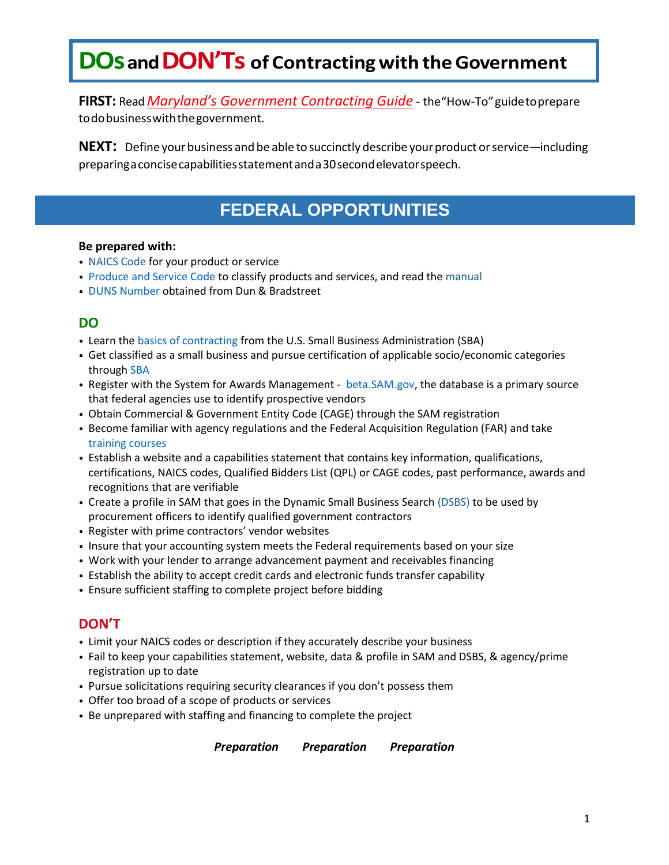# **DOsandDON'Ts of Contractingwith theGovernment**

**FIRST:** Read*[Maryland's Government Contracting Guide](http://commerce.maryland.gov/Documents/BusinessResource/maryland-federal-facilities-contracting-guide.pdf)* - the"How-To"guidetoprepare todobusinesswiththegovernment.

**NEXT:** Define your business and be able to succinctly describe your product or service—including preparingaconcisecapabilitiesstatementanda30secondelevatorspeech.

## **FEDERAL OPPORTUNITIES**

#### **Be prepared with:**

- [NAICS Code](http://www.census.gov/eos/www/naics/) for your product or service
- [Produce and Service Code](https://www.acquisition.gov/PSC_Manual) to classify products and services, and read the [manual](https://www.acquisition.gov/sites/default/files/page_file_uploads/PSC%20Manual%20-%20Final%20-%2011%20August%202011.pdf)
- [DUNS Number](https://www.dnb.com/duns-number.html) obtained from Dun & Bradstreet

## **DO**

- Learn the [basics of contracting](https://www.sba.gov/contracting) from the U.S. Small Business Administration (SBA)
- Get classified as a small business and pursue certification of applicable socio/economic categories through [SBA](https://www.sba.gov/contracting/government-contracting-programs)
- Register with the System for Awards Management [beta.SAM.gov,](https://beta.sam.gov/) the database is a primary source that federal agencies use to identify prospective vendors
- Obtain Commercial & Government Entity Code (CAGE) through the SAM registration
- Become familiar with agency regulations and the Federal Acquisition Regulation (FAR) and take [training courses](https://www.acquisition.gov/Training)
- Establish a website and a capabilities statement that contains key information, qualifications, certifications, NAICS codes, Qualified Bidders List (QPL) or CAGE codes, past performance, awards and recognitions that are verifiable
- Create a profile in SAM that goes in the Dynamic Small Business Searc[h \(DSBS\)](http://dsbs.sba.gov/dsbs/search/dsp_dsbs.cfm) to be used by procurement officers to identify qualified government contractors
- Register with prime contractors' vendor websites
- Insure that your accounting system meets the Federal requirements based on your size
- Work with your lender to arrange advancement payment and receivables financing
- Establish the ability to accept credit cards and electronic funds transfer capability
- Ensure sufficient staffing to complete project before bidding

### **DON'T**

- Limit your NAICS codes or description if they accurately describe your business
- Fail to keep your capabilities statement, website, data & profile in SAM and DSBS, & agency/prime registration up to date
- Pursue solicitations requiring security clearances if you don't possess them
- Offer too broad of a scope of products or services
- Be unprepared with staffing and financing to complete the project

#### *Preparation Preparation Preparation*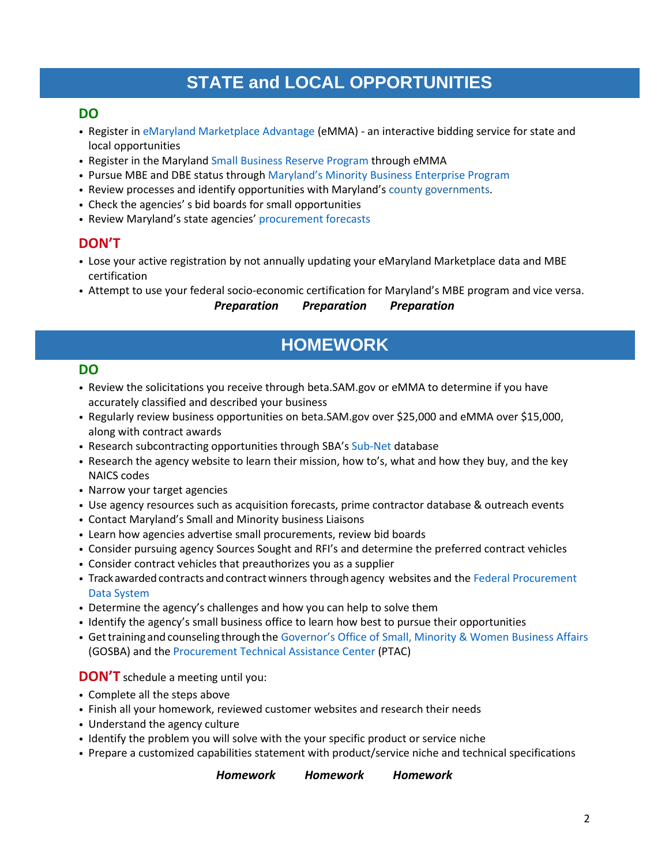## **STATE and LOCAL OPPORTUNITIES**

## **DO**

- Register i[n eMaryland Marketplace Advantage](https://procurement.maryland.gov/) (eMMA) an interactive bidding service for state and local opportunities
- Register in the Marylan[d Small Business Reserve Program](https://gomdsmallbiz.maryland.gov/Pages/sbr-Program.aspx) through eMMA
- Pursue MBE and DBE status through [Maryland's Minority Business Enterprise Program](https://www.mdot.maryland.gov/tso/pages/Index.aspx?PageId=90)
- Review processes and identify opportunities with Maryland's [county governments.](http://commerce.maryland.gov/grow/business-to-government#county)
- Check the agencies' s bid boards for small opportunities
- Review Maryland's state agencies' [procurement forecasts](https://gomdsmallbiz.maryland.gov/Pages/Forecasting.aspx)

### **DON'T**

- Lose your active registration by not annually updating your eMaryland Marketplace data and MBE certification
- Attempt to use your federal socio-economic certification for Maryland's MBE program and vice versa.

*Preparation Preparation Preparation*

## **HOMEWORK**

### **DO**

- Review the solicitations you receive through beta.SAM.gov or eMMA to determine if you have accurately classified and described your business
- Regularly review business opportunities on beta.SAM.gov over \$25,000 and eMMA over \$15,000, along with contract awards
- Research subcontracting opportunities through SBA's [Sub-Net](https://eweb1.sba.gov/subnet/client/dsp_Landing.cfm) database
- Research the agency website to learn their mission, how to's, what and how they buy, and the key NAICS codes
- Narrow your target agencies
- Use agency resources such as acquisition forecasts, prime contractor database & outreach events
- Contact Maryland's Small and Minority business Liaisons
- Learn how agencies advertise small procurements, review bid boards
- Consider pursuing agency Sources Sought and RFI's and determine the preferred contract vehicles
- Consider contract vehicles that preauthorizes you as a supplier
- Track awarded contracts and contract winners through agency websites and the Federal Procurement [Data System](https://www.fpds.gov/fpdsng_cms/index.php/en/)
- Determine the agency's challenges and how you can help to solve them
- Identify the agency's small business office to learn how best to pursue their opportunities
- Gettraining and counseling through the [Governor's Office of Small, Minority & Women Business Affairs](http://goma.maryland.gov/Pages/default.aspx) (GOSBA) and th[e Procurement Technical Assistance Center](https://www.mdptac.org/) (PTAC)

#### **DON'T** schedule a meeting until you:

- Complete all the steps above
- Finish all your homework, reviewed customer websites and research their needs
- Understand the agency culture
- Identify the problem you will solve with the your specific product or service niche
- Prepare a customized capabilities statement with product/service niche and technical specifications

#### *Homework Homework Homework*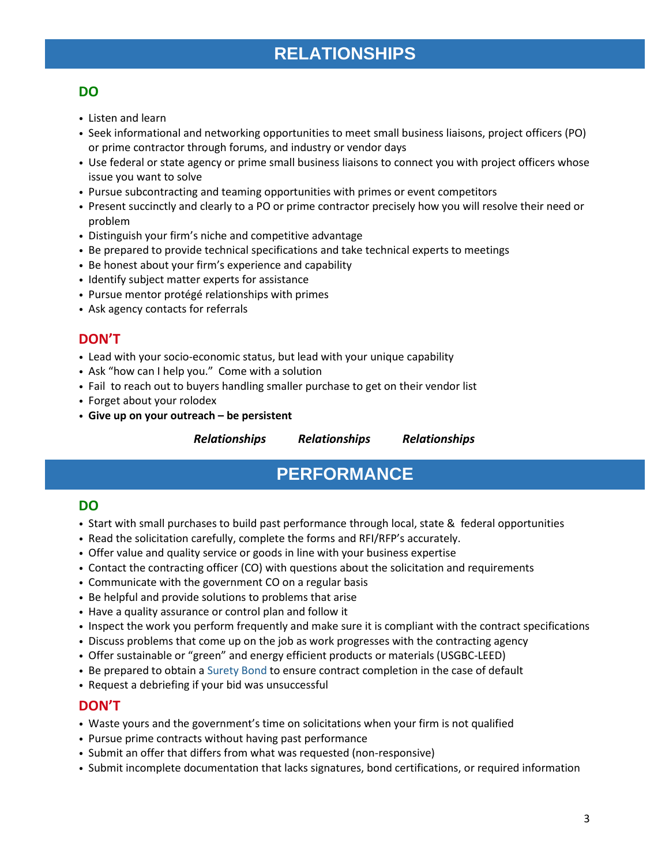## **RELATIONSHIPS**

## **DO**

- Listen and learn
- Seek informational and networking opportunities to meet small business liaisons, project officers (PO) or prime contractor through forums, and industry or vendor days
- Use federal or state agency or prime small business liaisons to connect you with project officers whose issue you want to solve
- Pursue subcontracting and teaming opportunities with primes or event competitors
- Present succinctly and clearly to a PO or prime contractor precisely how you will resolve their need or problem
- Distinguish your firm's niche and competitive advantage
- Be prepared to provide technical specifications and take technical experts to meetings
- Be honest about your firm's experience and capability
- Identify subject matter experts for assistance
- Pursue mentor protégé relationships with primes
- Ask agency contacts for referrals

## **DON'T**

- Lead with your socio-economic status, but lead with your unique capability
- Ask "how can I help you." Come with a solution
- Fail to reach out to buyers handling smaller purchase to get on their vendor list
- Forget about your rolodex
- **Give up on your outreach – be persistent**

*Relationships Relationships Relationships*

## **PERFORMANCE**

## **DO**

- Start with small purchases to build past performance through local, state & federal opportunities
- Read the solicitation carefully, complete the forms and RFI/RFP's accurately.
- Offer value and quality service or goods in line with your business expertise
- Contact the contracting officer (CO) with questions about the solicitation and requirements
- Communicate with the government CO on a regular basis
- Be helpful and provide solutions to problems that arise
- Have a quality assurance or control plan and follow it
- Inspect the work you perform frequently and make sure it is compliant with the contract specifications
- Discuss problems that come up on the job as work progresses with the contracting agency
- Offer sustainable or "green" and energy efficient products or materials (USGBC-LEED)
- Be prepared to obtain [a Surety Bond](https://www.sba.gov/content/surety-bonds-basics) to ensure contract completion in the case of default
- Request a debriefing if your bid was unsuccessful

#### **DON'T**

- Waste yours and the government's time on solicitations when your firm is not qualified
- Pursue prime contracts without having past performance
- Submit an offer that differs from what was requested (non-responsive)
- Submit incomplete documentation that lacks signatures, bond certifications, or required information